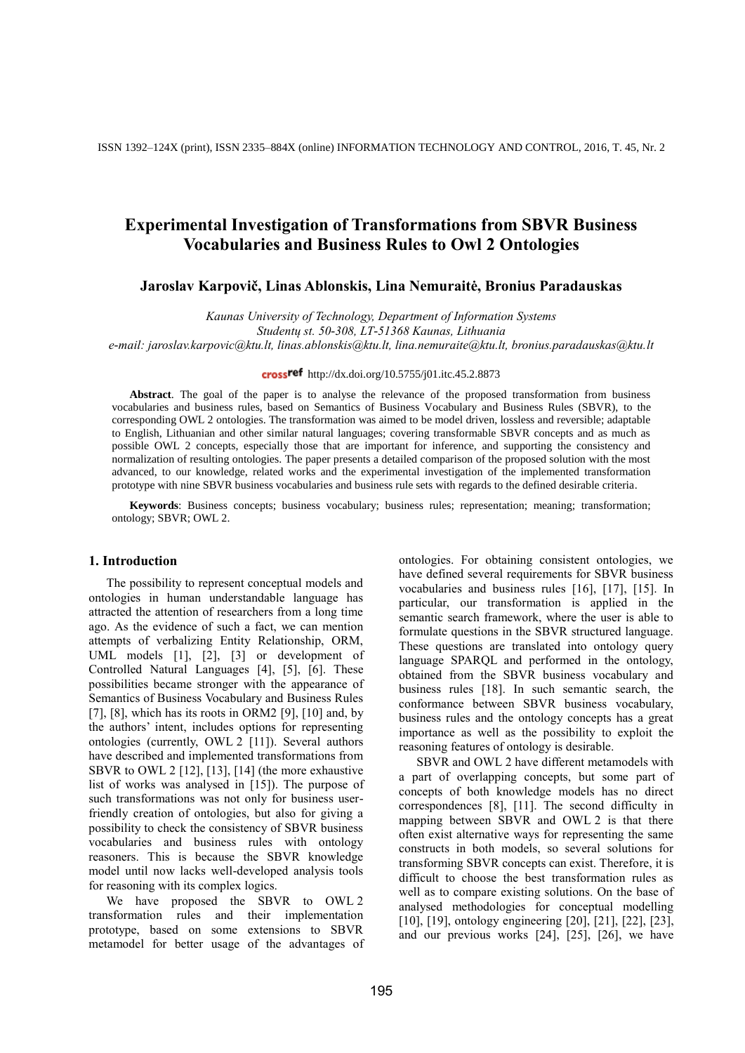### **Jaroslav Karpovič, Linas Ablonskis, Lina Nemuraitė, Bronius Paradauskas**

*Kaunas University of Technology, Department of Information Systems*

*e-mail: jaroslav.karpovic@ktu.lt, linas.ablonskis@ktu.lt, lina.nemuraite@ktu.lt, bronius.paradauskas@ktu.lt*

### cross<sup>ref</sup> http://dx.doi.org/10.5755/j01.itc.45.2.8873

Abstract. The goal of the paper is to analyse the relevance of the proposed transformation from business vocabularies and business rules, based on Semantics of Business Vocabulary and Business Rules (SBVR), to the corresponding OWL 2 ontologies. The transformation was aimed to be model driven, lossless and reversible; adaptable to English, Lithuanian and other similar natural languages; covering transformable SBVR concepts and as much as possible OWL 2 concepts, especially those that are important for inference, and supporting the consistency and normalization of resulting ontologies. The paper presents a detailed comparison of the proposed solution with the most advanced, to our knowledge, related works and the experimental investigation of the implemented transformation prototype with nine SBVR business vocabularies and business rule sets with regards to the defined desirable criteria.

**Keywords**: Business concepts; business vocabulary; business rules; representation; meaning; transformation; ontology; SBVR; OWL 2.

#### **1. Introduction**

The possibility to represent conceptual models and ontologies in human understandable language has attracted the attention of researchers from a long time ago. As the evidence of such a fact, we can mention attempts of verbalizing Entity Relationship, ORM, UML models [1], [2], [3] or development of Controlled Natural Languages [4], [5], [6]. These possibilities became stronger with the appearance of Semantics of Business Vocabulary and Business Rules [7], [8], which has its roots in ORM2 [9], [10] and, by the authors' intent, includes options for representing ontologies (currently, OWL 2 [11]). Several authors have described and implemented transformations from SBVR to OWL 2 [12], [13], [14] (the more exhaustive list of works was analysed in [15]). The purpose of such transformations was not only for business userfriendly creation of ontologies, but also for giving a possibility to check the consistency of SBVR business vocabularies and business rules with ontology reasoners. This is because the SBVR knowledge model until now lacks well-developed analysis tools for reasoning with its complex logics.

We have proposed the SBVR to OWL 2 transformation rules and their implementation prototype, based on some extensions to SBVR metamodel for better usage of the advantages of

ontologies. For obtaining consistent ontologies, we have defined several requirements for SBVR business vocabularies and business rules [16], [17], [15]. In particular, our transformation is applied in the semantic search framework, where the user is able to formulate questions in the SBVR structured language. These questions are translated into ontology query language SPARQL and performed in the ontology, obtained from the SBVR business vocabulary and business rules [18]. In such semantic search, the conformance between SBVR business vocabulary, business rules and the ontology concepts has a great importance as well as the possibility to exploit the reasoning features of ontology is desirable.

SBVR and OWL 2 have different metamodels with a part of overlapping concepts, but some part of concepts of both knowledge models has no direct correspondences [8], [11]. The second difficulty in mapping between SBVR and OWL 2 is that there often exist alternative ways for representing the same constructs in both models, so several solutions for transforming SBVR concepts can exist. Therefore, it is difficult to choose the best transformation rules as well as to compare existing solutions. On the base of analysed methodologies for conceptual modelling [10], [19], ontology engineering [20], [21], [22], [23], and our previous works [24], [25], [26], we have

*Studentų st. 50-308, LT-51368 Kaunas, Lithuania*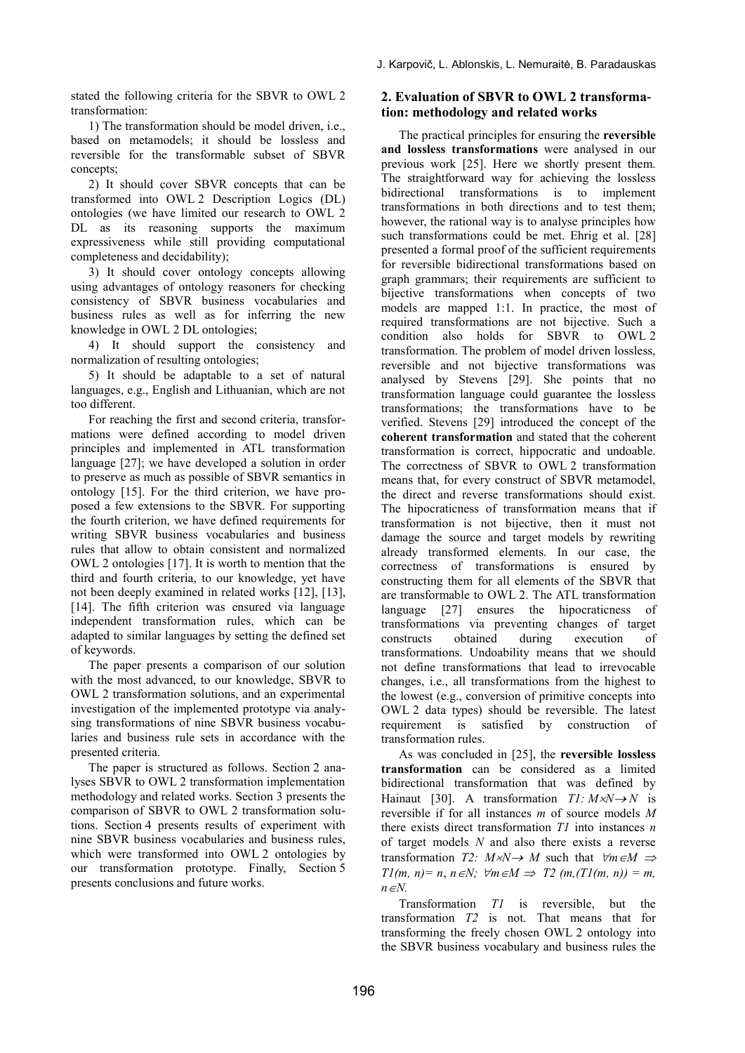stated the following criteria for the SBVR to OWL 2 transformation:

1) The transformation should be model driven, i.e., based on metamodels; it should be lossless and reversible for the transformable subset of SBVR concepts;

2) It should cover SBVR concepts that can be transformed into OWL 2 Description Logics (DL) ontologies (we have limited our research to OWL 2 DL as its reasoning supports the maximum expressiveness while still providing computational completeness and decidability);

3) It should cover ontology concepts allowing using advantages of ontology reasoners for checking consistency of SBVR business vocabularies and business rules as well as for inferring the new knowledge in OWL 2 DL ontologies;

4) It should support the consistency and normalization of resulting ontologies;

5) It should be adaptable to a set of natural languages, e.g., English and Lithuanian, which are not too different.

For reaching the first and second criteria, transformations were defined according to model driven principles and implemented in ATL transformation language [27]; we have developed a solution in order to preserve as much as possible of SBVR semantics in ontology [15]. For the third criterion, we have proposed a few extensions to the SBVR. For supporting the fourth criterion, we have defined requirements for writing SBVR business vocabularies and business rules that allow to obtain consistent and normalized OWL 2 ontologies [17]. It is worth to mention that the third and fourth criteria, to our knowledge, yet have not been deeply examined in related works [12], [13], [14]. The fifth criterion was ensured via language independent transformation rules, which can be adapted to similar languages by setting the defined set of keywords.

The paper presents a comparison of our solution with the most advanced, to our knowledge, SBVR to OWL 2 transformation solutions, and an experimental investigation of the implemented prototype via analysing transformations of nine SBVR business vocabularies and business rule sets in accordance with the presented criteria.

The paper is structured as follows. Section 2 analyses SBVR to OWL 2 transformation implementation methodology and related works. Section 3 presents the comparison of SBVR to OWL 2 transformation solutions. Section 4 presents results of experiment with nine SBVR business vocabularies and business rules, which were transformed into OWL 2 ontologies by our transformation prototype. Finally, Section 5 presents conclusions and future works.

## **2. Evaluation of SBVR to OWL 2 transformation: methodology and related works**

The practical principles for ensuring the **reversible and lossless transformations** were analysed in our previous work [25]. Here we shortly present them. The straightforward way for achieving the lossless bidirectional transformations is to implement transformations in both directions and to test them; however, the rational way is to analyse principles how such transformations could be met. Ehrig et al. [28] presented a formal proof of the sufficient requirements for reversible bidirectional transformations based on graph grammars; their requirements are sufficient to bijective transformations when concepts of two models are mapped 1:1. In practice, the most of required transformations are not bijective. Such a condition also holds for SBVR to OWL 2 transformation. The problem of model driven lossless, reversible and not bijective transformations was analysed by Stevens [29]. She points that no transformation language could guarantee the lossless transformations; the transformations have to be verified. Stevens [29] introduced the concept of the **coherent transformation** and stated that the coherent transformation is correct, hippocratic and undoable. The correctness of SBVR to OWL 2 transformation means that, for every construct of SBVR metamodel, the direct and reverse transformations should exist. The hipocraticness of transformation means that if transformation is not bijective, then it must not damage the source and target models by rewriting already transformed elements. In our case, the correctness of transformations is ensured by constructing them for all elements of the SBVR that are transformable to OWL 2. The ATL transformation language [27] ensures the hipocraticness of transformations via preventing changes of target constructs obtained during execution of transformations. Undoability means that we should not define transformations that lead to irrevocable changes, i.e., all transformations from the highest to the lowest (e.g., conversion of primitive concepts into OWL 2 data types) should be reversible. The latest requirement is satisfied by construction of transformation rules.

As was concluded in [25], the **reversible lossless transformation** can be considered as a limited bidirectional transformation that was defined by Hainaut [30]. A transformation  $TI: M \times N \rightarrow N$  is reversible if for all instances *m* of source models *M*  there exists direct transformation *T1* into instances *n* of target models *N* and also there exists a reverse transformation *T2:*  $M \times N \rightarrow M$  such that  $\forall m \in M \Rightarrow$ *T1(m, n)*= *n, n ∈N;*  $\forall m \in M \implies T2(m, (T1(m, n)) = m$ ,  $n \in \mathbb{N}$ .

Transformation *T1* is reversible, but the transformation *T2* is not. That means that for transforming the freely chosen OWL 2 ontology into the SBVR business vocabulary and business rules the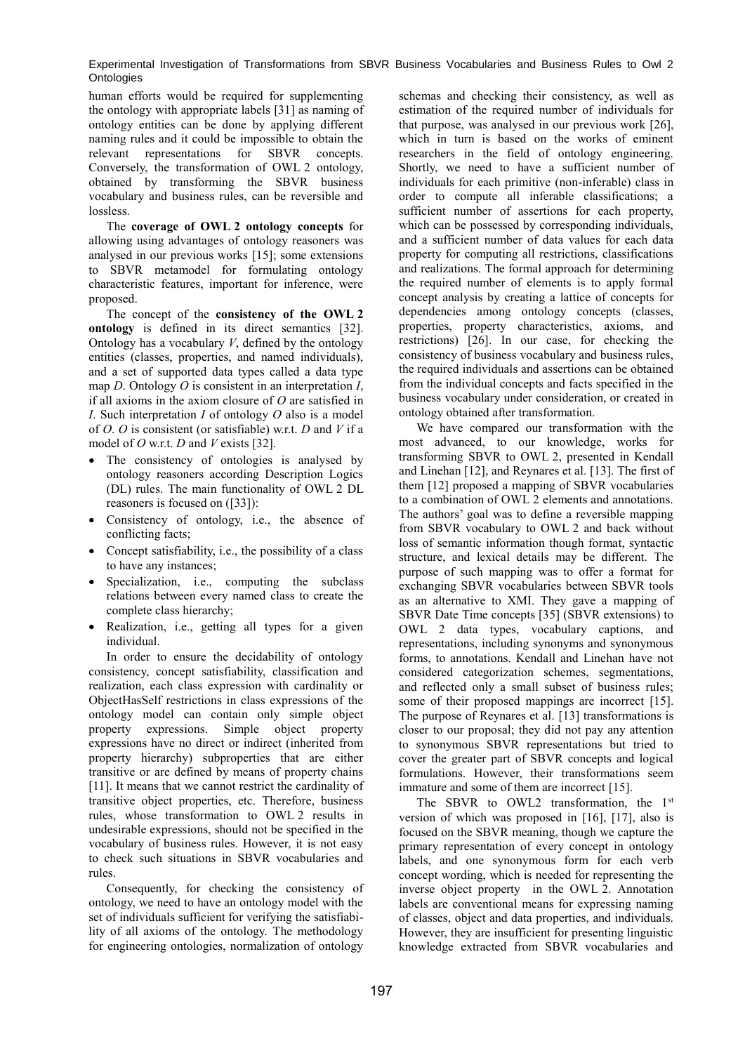human efforts would be required for supplementing the ontology with appropriate labels [31] as naming of ontology entities can be done by applying different naming rules and it could be impossible to obtain the relevant representations for SBVR concepts. Conversely, the transformation of OWL 2 ontology, obtained by transforming the SBVR business vocabulary and business rules, can be reversible and lossless.

The **coverage of OWL 2 ontology concepts** for allowing using advantages of ontology reasoners was analysed in our previous works [15]; some extensions to SBVR metamodel for formulating ontology characteristic features, important for inference, were proposed.

The concept of the **consistency of the OWL 2 ontology** is defined in its direct semantics [32]. Ontology has a vocabulary *V*, defined by the ontology entities (classes, properties, and named individuals), and a set of supported data types called a data type map *D*. Ontology *O* is consistent in an interpretation *I*, if all axioms in the axiom closure of *O* are satisfied in *I*. Such interpretation *I* of ontology *O* also is a model of *O*. *O* is consistent (or satisfiable) w.r.t. *D* and *V* if a model of *O* w.r.t. *D* and *V* exists [32].

- The consistency of ontologies is analysed by ontology reasoners according Description Logics (DL) rules. The main functionality of OWL 2 DL reasoners is focused on ([33]):
- Consistency of ontology, i.e., the absence of conflicting facts;
- Concept satisfiability, i.e., the possibility of a class to have any instances;
- Specialization, i.e., computing the subclass relations between every named class to create the complete class hierarchy;
- Realization, i.e., getting all types for a given individual.

In order to ensure the decidability of ontology consistency, concept satisfiability, classification and realization, each class expression with cardinality or ObjectHasSelf restrictions in class expressions of the ontology model can contain only simple object property expressions. Simple object property expressions have no direct or indirect (inherited from property hierarchy) subproperties that are either transitive or are defined by means of property chains [11]. It means that we cannot restrict the cardinality of transitive object properties, etc. Therefore, business rules, whose transformation to OWL 2 results in undesirable expressions, should not be specified in the vocabulary of business rules. However, it is not easy to check such situations in SBVR vocabularies and rules.

Consequently, for checking the consistency of ontology, we need to have an ontology model with the set of individuals sufficient for verifying the satisfiability of all axioms of the ontology. The methodology for engineering ontologies, normalization of ontology

schemas and checking their consistency, as well as estimation of the required number of individuals for that purpose, was analysed in our previous work [26], which in turn is based on the works of eminent researchers in the field of ontology engineering. Shortly, we need to have a sufficient number of individuals for each primitive (non-inferable) class in order to compute all inferable classifications; a sufficient number of assertions for each property, which can be possessed by corresponding individuals, and a sufficient number of data values for each data property for computing all restrictions, classifications and realizations. The formal approach for determining the required number of elements is to apply formal concept analysis by creating a lattice of concepts for dependencies among ontology concepts (classes, properties, property characteristics, axioms, and restrictions) [26]. In our case, for checking the consistency of business vocabulary and business rules, the required individuals and assertions can be obtained from the individual concepts and facts specified in the business vocabulary under consideration, or created in ontology obtained after transformation.

We have compared our transformation with the most advanced, to our knowledge, works for transforming SBVR to OWL 2, presented in Kendall and Linehan [12], and Reynares et al. [13]. The first of them [12] proposed a mapping of SBVR vocabularies to a combination of OWL 2 elements and annotations. The authors' goal was to define a reversible mapping from SBVR vocabulary to OWL 2 and back without loss of semantic information though format, syntactic structure, and lexical details may be different. The purpose of such mapping was to offer a format for exchanging SBVR vocabularies between SBVR tools as an alternative to XMI. They gave a mapping of SBVR Date Time concepts [35] (SBVR extensions) to OWL 2 data types, vocabulary captions, and representations, including synonyms and synonymous forms, to annotations. Kendall and Linehan have not considered categorization schemes, segmentations, and reflected only a small subset of business rules; some of their proposed mappings are incorrect [15]. The purpose of Reynares et al. [13] transformations is closer to our proposal; they did not pay any attention to synonymous SBVR representations but tried to cover the greater part of SBVR concepts and logical formulations. However, their transformations seem immature and some of them are incorrect [15].

The SBVR to OWL2 transformation, the 1<sup>st</sup> version of which was proposed in [16], [17], also is focused on the SBVR meaning, though we capture the primary representation of every concept in ontology labels, and one synonymous form for each verb concept wording, which is needed for representing the inverse object property in the OWL 2. Annotation labels are conventional means for expressing naming of classes, object and data properties, and individuals. However, they are insufficient for presenting linguistic knowledge extracted from SBVR vocabularies and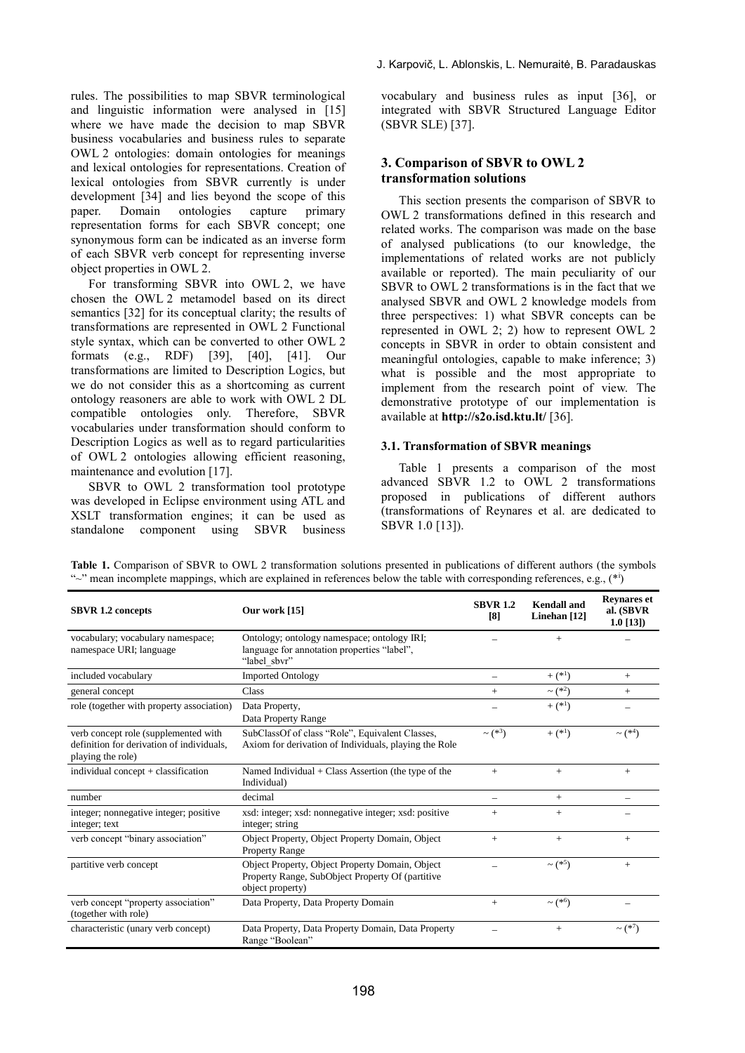rules. The possibilities to map SBVR terminological and linguistic information were analysed in [15] where we have made the decision to map SBVR business vocabularies and business rules to separate OWL 2 ontologies: domain ontologies for meanings and lexical ontologies for representations. Creation of lexical ontologies from SBVR currently is under development [34] and lies beyond the scope of this paper. Domain ontologies capture primary representation forms for each SBVR concept; one synonymous form can be indicated as an inverse form of each SBVR verb concept for representing inverse object properties in OWL 2.

For transforming SBVR into OWL 2, we have chosen the OWL 2 metamodel based on its direct semantics [32] for its conceptual clarity; the results of transformations are represented in OWL 2 Functional style syntax, which can be converted to other OWL 2 formats (e.g., RDF) [39], [40], [41]. Our transformations are limited to Description Logics, but we do not consider this as a shortcoming as current ontology reasoners are able to work with OWL 2 DL compatible ontologies only. Therefore, SBVR vocabularies under transformation should conform to Description Logics as well as to regard particularities of OWL 2 ontologies allowing efficient reasoning, maintenance and evolution [17].

SBVR to OWL 2 transformation tool prototype was developed in Eclipse environment using ATL and XSLT transformation engines; it can be used as standalone component using SBVR business

vocabulary and business rules as input [36], or integrated with SBVR Structured Language Editor (SBVR SLE) [37].

## **3. Comparison of SBVR to OWL 2 transformation solutions**

This section presents the comparison of SBVR to OWL 2 transformations defined in this research and related works. The comparison was made on the base of analysed publications (to our knowledge, the implementations of related works are not publicly available or reported). The main peculiarity of our SBVR to OWL 2 transformations is in the fact that we analysed SBVR and OWL 2 knowledge models from three perspectives: 1) what SBVR concepts can be represented in OWL 2; 2) how to represent OWL 2 concepts in SBVR in order to obtain consistent and meaningful ontologies, capable to make inference; 3) what is possible and the most appropriate to implement from the research point of view. The demonstrative prototype of our implementation is available at **http://s2o.isd.ktu.lt/** [36].

### **3.1. Transformation of SBVR meanings**

Table 1 presents a comparison of the most advanced SBVR 1.2 to OWL 2 transformations proposed in publications of different authors (transformations of Reynares et al. are dedicated to SBVR 1.0 [13]).

| <b>SBVR 1.2 concepts</b>                                                                               | Our work [15]                                                                                                           | <b>SBVR 1.2</b><br>[8]   | <b>Kendall</b> and<br>Linehan [12] | <b>Revnares et</b><br>al. (SBVR<br>$1.0$ [13]) |
|--------------------------------------------------------------------------------------------------------|-------------------------------------------------------------------------------------------------------------------------|--------------------------|------------------------------------|------------------------------------------------|
| vocabulary; vocabulary namespace;<br>namespace URI; language                                           | Ontology; ontology namespace; ontology IRI;<br>language for annotation properties "label",<br>"label sbvr"              |                          | $+$                                |                                                |
| included vocabulary                                                                                    | <b>Imported Ontology</b>                                                                                                |                          | $+$ $(*^1)$                        | $+$                                            |
| general concept                                                                                        | Class                                                                                                                   | $+$                      | $\sim$ (* <sup>2</sup> )           | $+$                                            |
| role (together with property association)                                                              | Data Property,<br>Data Property Range                                                                                   |                          | $+$ (* <sup>1</sup> )              |                                                |
| verb concept role (supplemented with<br>definition for derivation of individuals,<br>playing the role) | SubClassOf of class "Role", Equivalent Classes,<br>Axiom for derivation of Individuals, playing the Role                | $\sim$ (* <sup>3</sup> ) | $+$ (* <sup>1</sup> )              | $\sim$ (* <sup>4</sup> )                       |
| individual concept $+$ classification                                                                  | Named Individual $+$ Class Assertion (the type of the<br>Individual)                                                    | $+$                      | $+$                                | $+$                                            |
| number                                                                                                 | decimal                                                                                                                 |                          | $+$                                |                                                |
| integer; nonnegative integer; positive<br>integer; text                                                | xsd: integer; xsd: nonnegative integer; xsd: positive<br>integer; string                                                | $^{+}$                   | $^{+}$                             |                                                |
| verb concept "binary association"                                                                      | Object Property, Object Property Domain, Object<br><b>Property Range</b>                                                | $+$                      | $+$                                | $+$                                            |
| partitive verb concept                                                                                 | Object Property, Object Property Domain, Object<br>Property Range, SubObject Property Of (partitive<br>object property) |                          | $\sim$ (* <sup>5</sup> )           | $+$                                            |
| verb concept "property association"<br>(together with role)                                            | Data Property, Data Property Domain                                                                                     | $+$                      | $\sim$ (* <sup>6</sup> )           |                                                |
| characteristic (unary verb concept)                                                                    | Data Property, Data Property Domain, Data Property<br>Range "Boolean"                                                   |                          | $+$                                | $\sim$ (* <sup>7</sup> )                       |

**Table 1.** Comparison of SBVR to OWL 2 transformation solutions presented in publications of different authors (the symbols " $\sim$ " mean incomplete mappings, which are explained in references below the table with corresponding references, e.g.,  $(*i)$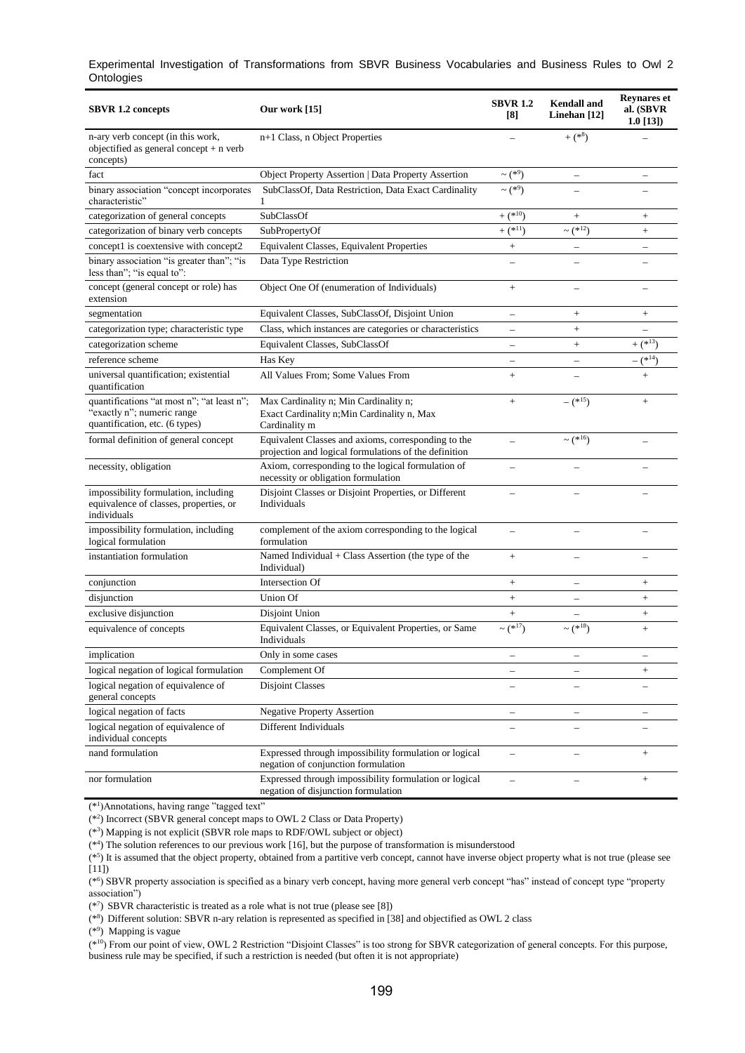| <b>SBVR 1.2 concepts</b>                                                                                   | Our work $[15]$                                                                                              | <b>SBVR 1.2</b><br>$\lceil 8 \rceil$ | <b>Kendall</b> and<br>Linehan $[12]$ | <b>Reynares et</b><br>al. (SBVR<br>$1.0$ [13]) |
|------------------------------------------------------------------------------------------------------------|--------------------------------------------------------------------------------------------------------------|--------------------------------------|--------------------------------------|------------------------------------------------|
| n-ary verb concept (in this work,<br>objectified as general concept + n verb<br>concepts)                  | n+1 Class, n Object Properties                                                                               |                                      | $+$ (* $^{8}$ )                      |                                                |
| fact                                                                                                       | Object Property Assertion   Data Property Assertion                                                          | $\sim$ (* <sup>9</sup> )             | $\overline{\phantom{0}}$             | $\overline{\phantom{0}}$                       |
| binary association "concept incorporates<br>characteristic"                                                | SubClassOf, Data Restriction, Data Exact Cardinality<br>1                                                    | $\sim$ (* <sup>9</sup> )             |                                      |                                                |
| categorization of general concepts                                                                         | SubClassOf                                                                                                   | $+($ * <sup>10</sup> )               | $^{+}$                               | $\hspace{1.0cm} + \hspace{1.0cm}$              |
| categorization of binary verb concepts                                                                     | SubPropertyOf                                                                                                | $+(1^{*11})$                         | $\sim$ (* <sup>12</sup> )            | $\boldsymbol{+}$                               |
| concept1 is coextensive with concept2                                                                      | Equivalent Classes, Equivalent Properties                                                                    | $\! + \!\!\!\!$                      | $\overline{\phantom{0}}$             |                                                |
| binary association "is greater than"; "is<br>less than"; "is equal to":                                    | Data Type Restriction                                                                                        |                                      |                                      |                                                |
| concept (general concept or role) has<br>extension                                                         | Object One Of (enumeration of Individuals)                                                                   | $\! + \!\!\!\!$                      |                                      |                                                |
| segmentation                                                                                               | Equivalent Classes, SubClassOf, Disjoint Union                                                               |                                      | $^{+}$                               | $\hspace{1.0cm} + \hspace{1.0cm}$              |
| categorization type; characteristic type                                                                   | Class, which instances are categories or characteristics                                                     |                                      | $^{+}$                               |                                                |
| categorization scheme                                                                                      | Equivalent Classes, SubClassOf                                                                               | $\overline{\phantom{0}}$             | $^{+}$                               | $+\sqrt{2^{*13}}$                              |
| reference scheme                                                                                           | Has Key                                                                                                      |                                      |                                      | $-$ (* $^{14}$ )                               |
| universal quantification; existential<br>quantification                                                    | All Values From; Some Values From                                                                            | $\ddot{}$                            |                                      | $\ddot{+}$                                     |
| quantifications "at most n"; "at least n";<br>"exactly n"; numeric range<br>quantification, etc. (6 types) | Max Cardinality n; Min Cardinality n;<br>Exact Cardinality n; Min Cardinality n, Max<br>Cardinality m        | $\qquad \qquad +$                    | $-$ (* <sup>15</sup> )               | $+$                                            |
| formal definition of general concept                                                                       | Equivalent Classes and axioms, corresponding to the<br>projection and logical formulations of the definition |                                      | $\sim$ (* <sup>16</sup> )            |                                                |
| necessity, obligation                                                                                      | Axiom, corresponding to the logical formulation of<br>necessity or obligation formulation                    |                                      |                                      |                                                |
| impossibility formulation, including<br>equivalence of classes, properties, or<br>individuals              | Disjoint Classes or Disjoint Properties, or Different<br>Individuals                                         |                                      |                                      |                                                |
| impossibility formulation, including<br>logical formulation                                                | complement of the axiom corresponding to the logical<br>formulation                                          | $\equiv$                             | $\overline{\phantom{0}}$             |                                                |
| instantiation formulation                                                                                  | Named Individual + Class Assertion (the type of the<br>Individual)                                           | $+$                                  |                                      |                                                |
| conjunction                                                                                                | Intersection Of                                                                                              |                                      | $\overline{\phantom{0}}$             | $^{+}$                                         |
| disjunction                                                                                                | Union Of                                                                                                     | $+$                                  | $\equiv$                             |                                                |
| exclusive disjunction                                                                                      | Disjoint Union                                                                                               | $+$                                  |                                      | $\qquad \qquad +$                              |
| equivalence of concepts                                                                                    | Equivalent Classes, or Equivalent Properties, or Same<br>Individuals                                         | $\sim$ (* <sup>17</sup> )            | $\sim$ (* <sup>18</sup> )            | $+$                                            |
| implication                                                                                                | Only in some cases                                                                                           |                                      |                                      | -                                              |
| logical negation of logical formulation                                                                    | Complement Of                                                                                                |                                      |                                      |                                                |
| logical negation of equivalence of<br>general concepts                                                     | <b>Disjoint Classes</b>                                                                                      | $\overline{\phantom{0}}$             | $\overline{\phantom{0}}$             | $\overline{\phantom{0}}$                       |
| logical negation of facts                                                                                  | <b>Negative Property Assertion</b>                                                                           | $\overline{\phantom{0}}$             | -                                    |                                                |
| logical negation of equivalence of<br>individual concepts                                                  | Different Individuals                                                                                        |                                      |                                      |                                                |
| nand formulation                                                                                           | Expressed through impossibility formulation or logical<br>negation of conjunction formulation                | $\equiv$                             |                                      | $\boldsymbol{+}$                               |
| nor formulation                                                                                            | Expressed through impossibility formulation or logical<br>negation of disjunction formulation                | $\overline{a}$                       | $\overline{\phantom{0}}$             | $\! + \!\!\!\!$                                |

(\*<sup>1</sup> )Annotations, having range "tagged text"

(\*<sup>2</sup> ) Incorrect (SBVR general concept maps to OWL 2 Class or Data Property)

(\*<sup>3</sup> ) Mapping is not explicit (SBVR role maps to RDF/OWL subject or object)

(\*<sup>4</sup> ) The solution references to our previous work [16], but the purpose of transformation is misunderstood

(\*5) It is assumed that the object property, obtained from a partitive verb concept, cannot have inverse object property what is not true (please see  $(11)$ 

(\*<sup>6</sup> ) SBVR property association is specified as a binary verb concept, having more general verb concept "has" instead of concept type "property association")

 $(*<sup>7</sup>)$  SBVR characteristic is treated as a role what is not true (please see [8])

(\*<sup>8</sup> ) Different solution: SBVR n-ary relation is represented as specified in [38] and objectified as OWL 2 class

(\*<sup>9</sup> ) Mapping is vague

(\*<sup>10</sup>) From our point of view, OWL 2 Restriction "Disjoint Classes" is too strong for SBVR categorization of general concepts. For this purpose, business rule may be specified, if such a restriction is needed (but often it is not appropriate)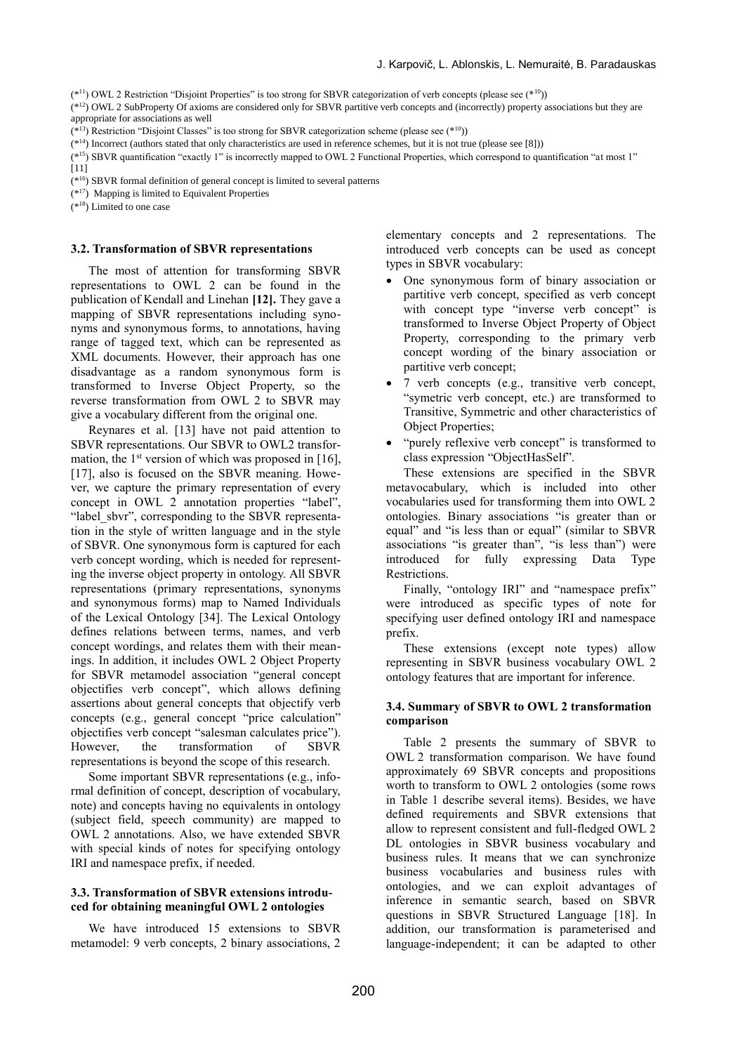(\*<sup>11</sup>) OWL 2 Restriction "Disjoint Properties" is too strong for SBVR categorization of verb concepts (please see (\*<sup>10</sup>))

 $(*^{12})$  OWL 2 SubProperty Of axioms are considered only for SBVR partitive verb concepts and (incorrectly) property associations but they are appropriate for associations as well

 $(*<sup>13</sup>)$  Restriction "Disjoint Classes" is too strong for SBVR categorization scheme (please see  $(*<sup>10</sup>)$ )

(\*<sup>15</sup>) SBVR quantification "exactly 1" is incorrectly mapped to OWL 2 Functional Properties, which correspond to quantification "at most 1"

(\*<sup>16</sup>) SBVR formal definition of general concept is limited to several patterns

 $(*<sup>17</sup>)$  Mapping is limited to Equivalent Properties

 $(*<sup>18</sup>)$  Limited to one case

#### **3.2. Transformation of SBVR representations**

The most of attention for transforming SBVR representations to OWL 2 can be found in the publication of Kendall and Linehan **[12].** They gave a mapping of SBVR representations including synonyms and synonymous forms, to annotations, having range of tagged text, which can be represented as XML documents. However, their approach has one disadvantage as a random synonymous form is transformed to Inverse Object Property, so the reverse transformation from OWL 2 to SBVR may give a vocabulary different from the original one.

Reynares et al. [13] have not paid attention to SBVR representations. Our SBVR to OWL2 transformation, the  $1<sup>st</sup>$  version of which was proposed in [16], [17], also is focused on the SBVR meaning. However, we capture the primary representation of every concept in OWL 2 annotation properties "label", "label sbvr", corresponding to the SBVR representation in the style of written language and in the style of SBVR. One synonymous form is captured for each verb concept wording, which is needed for representing the inverse object property in ontology. All SBVR representations (primary representations, synonyms and synonymous forms) map to Named Individuals of the Lexical Ontology [34]. The Lexical Ontology defines relations between terms, names, and verb concept wordings, and relates them with their meanings. In addition, it includes OWL 2 Object Property for SBVR metamodel association "general concept objectifies verb concept", which allows defining assertions about general concepts that objectify verb concepts (e.g., general concept "price calculation" objectifies verb concept "salesman calculates price"). However, the transformation of SBVR representations is beyond the scope of this research.

Some important SBVR representations (e.g., informal definition of concept, description of vocabulary, note) and concepts having no equivalents in ontology (subject field, speech community) are mapped to OWL 2 annotations. Also, we have extended SBVR with special kinds of notes for specifying ontology IRI and namespace prefix, if needed.

### **3.3. Transformation of SBVR extensions introduced for obtaining meaningful OWL 2 ontologies**

We have introduced 15 extensions to SBVR metamodel: 9 verb concepts, 2 binary associations, 2 elementary concepts and 2 representations. The introduced verb concepts can be used as concept types in SBVR vocabulary:

- One synonymous form of binary association or partitive verb concept, specified as verb concept with concept type "inverse verb concept" is transformed to Inverse Object Property of Object Property, corresponding to the primary verb concept wording of the binary association or partitive verb concept;
- 7 verb concepts (e.g., transitive verb concept, "symetric verb concept, etc.) are transformed to Transitive, Symmetric and other characteristics of Object Properties;
- "purely reflexive verb concept" is transformed to class expression "ObjectHasSelf".

These extensions are specified in the SBVR metavocabulary, which is included into other vocabularies used for transforming them into OWL 2 ontologies. Binary associations "is greater than or equal" and "is less than or equal" (similar to SBVR associations "is greater than", "is less than") were introduced for fully expressing Data Type Restrictions.

Finally, "ontology IRI" and "namespace prefix" were introduced as specific types of note for specifying user defined ontology IRI and namespace prefix.

These extensions (except note types) allow representing in SBVR business vocabulary OWL 2 ontology features that are important for inference.

### **3.4. Summary of SBVR to OWL 2 transformation comparison**

Table 2 presents the summary of SBVR to OWL 2 transformation comparison. We have found approximately 69 SBVR concepts and propositions worth to transform to OWL 2 ontologies (some rows in Table 1 describe several items). Besides, we have defined requirements and SBVR extensions that allow to represent consistent and full-fledged OWL 2 DL ontologies in SBVR business vocabulary and business rules. It means that we can synchronize business vocabularies and business rules with ontologies, and we can exploit advantages of inference in semantic search, based on SBVR questions in SBVR Structured Language [18]. In addition, our transformation is parameterised and language-independent; it can be adapted to other

<sup>(\*</sup><sup>14</sup>) Incorrect (authors stated that only characteristics are used in reference schemes, but it is not true (please see [8]))

<sup>[11]</sup>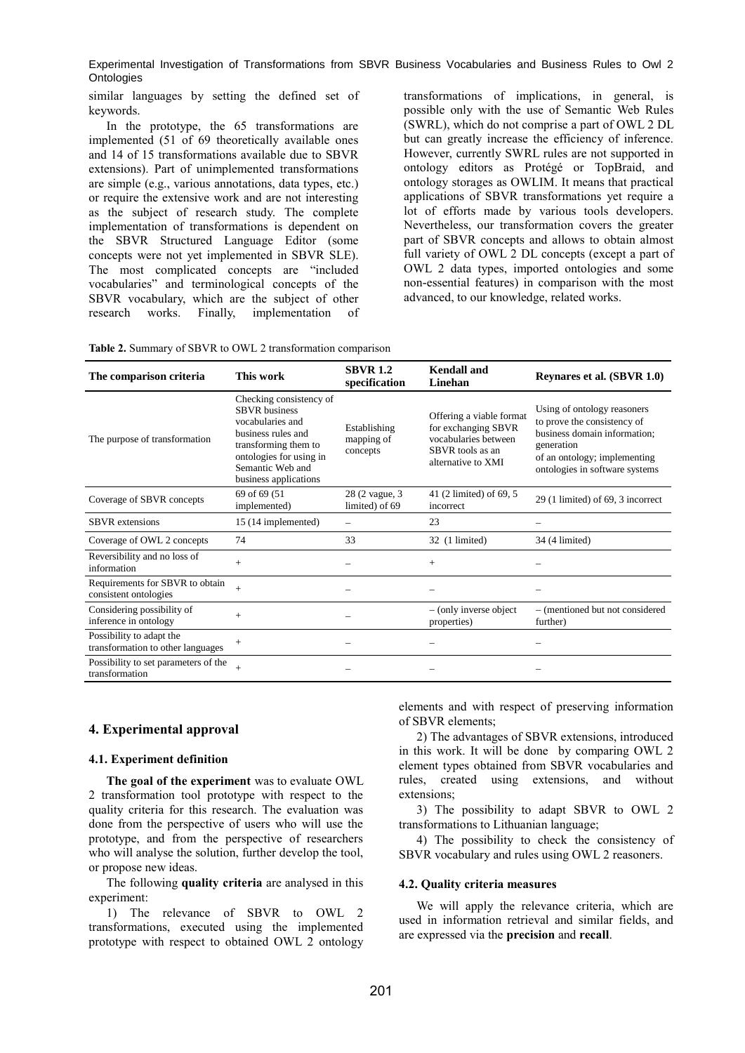similar languages by setting the defined set of keywords.

In the prototype, the 65 transformations are implemented (51 of 69 theoretically available ones and 14 of 15 transformations available due to SBVR extensions). Part of unimplemented transformations are simple (e.g., various annotations, data types, etc.) or require the extensive work and are not interesting as the subject of research study. The complete implementation of transformations is dependent on the SBVR Structured Language Editor (some concepts were not yet implemented in SBVR SLE). The most complicated concepts are "included vocabularies" and terminological concepts of the SBVR vocabulary, which are the subject of other research works. Finally, implementation of

transformations of implications, in general, is possible only with the use of Semantic Web Rules (SWRL), which do not comprise a part of OWL 2 DL but can greatly increase the efficiency of inference. However, currently SWRL rules are not supported in ontology editors as Protégé or TopBraid, and ontology storages as OWLIM. It means that practical applications of SBVR transformations yet require a lot of efforts made by various tools developers. Nevertheless, our transformation covers the greater part of SBVR concepts and allows to obtain almost full variety of OWL 2 DL concepts (except a part of OWL 2 data types, imported ontologies and some non-essential features) in comparison with the most advanced, to our knowledge, related works.

**Table 2.** Summary of SBVR to OWL 2 transformation comparison

| The comparison criteria                                       | This work                                                                                                                                                                                 | <b>SBVR 1.2</b><br>specification       | Kendall and<br>Linehan                                                                                            | Reynares et al. (SBVR 1.0)                                                                                                                                                 |
|---------------------------------------------------------------|-------------------------------------------------------------------------------------------------------------------------------------------------------------------------------------------|----------------------------------------|-------------------------------------------------------------------------------------------------------------------|----------------------------------------------------------------------------------------------------------------------------------------------------------------------------|
| The purpose of transformation                                 | Checking consistency of<br><b>SBVR</b> business<br>vocabularies and<br>business rules and<br>transforming them to<br>ontologies for using in<br>Semantic Web and<br>business applications | Establishing<br>mapping of<br>concepts | Offering a viable format<br>for exchanging SBVR<br>vocabularies between<br>SBVR tools as an<br>alternative to XMI | Using of ontology reasoners<br>to prove the consistency of<br>business domain information;<br>generation<br>of an ontology; implementing<br>ontologies in software systems |
| Coverage of SBVR concepts                                     | 69 of 69 (51)<br>implemented)                                                                                                                                                             | 28 (2 vague, 3)<br>limited) of 69      | 41 (2 limited) of 69, 5<br>incorrect                                                                              | 29 (1 limited) of 69, 3 incorrect                                                                                                                                          |
| <b>SBVR</b> extensions                                        | 15 (14 implemented)                                                                                                                                                                       | -                                      | 23                                                                                                                |                                                                                                                                                                            |
| Coverage of OWL 2 concepts                                    | 74                                                                                                                                                                                        | 33                                     | 32 (1 limited)                                                                                                    | 34 (4 limited)                                                                                                                                                             |
| Reversibility and no loss of<br>information                   | $+$                                                                                                                                                                                       |                                        | $^{+}$                                                                                                            |                                                                                                                                                                            |
| Requirements for SBVR to obtain<br>consistent ontologies      | $\ddot{}$                                                                                                                                                                                 |                                        |                                                                                                                   |                                                                                                                                                                            |
| Considering possibility of<br>inference in ontology           | $+$                                                                                                                                                                                       |                                        | $-$ (only inverse object<br>properties)                                                                           | - (mentioned but not considered<br>further)                                                                                                                                |
| Possibility to adapt the<br>transformation to other languages | $+$                                                                                                                                                                                       |                                        |                                                                                                                   |                                                                                                                                                                            |
| Possibility to set parameters of the<br>transformation        | $^{+}$                                                                                                                                                                                    |                                        |                                                                                                                   |                                                                                                                                                                            |

### **4. Experimental approval**

### **4.1. Experiment definition**

**The goal of the experiment** was to evaluate OWL 2 transformation tool prototype with respect to the quality criteria for this research. The evaluation was done from the perspective of users who will use the prototype, and from the perspective of researchers who will analyse the solution, further develop the tool, or propose new ideas.

The following **quality criteria** are analysed in this experiment:

1) The relevance of SBVR to OWL 2 transformations, executed using the implemented prototype with respect to obtained OWL 2 ontology elements and with respect of preserving information of SBVR elements;

2) The advantages of SBVR extensions, introduced in this work. It will be done by comparing OWL 2 element types obtained from SBVR vocabularies and rules, created using extensions, and without extensions;

3) The possibility to adapt SBVR to OWL 2 transformations to Lithuanian language;

4) The possibility to check the consistency of SBVR vocabulary and rules using OWL 2 reasoners.

### **4.2. Quality criteria measures**

We will apply the relevance criteria, which are used in information retrieval and similar fields, and are expressed via the **precision** and **recall**.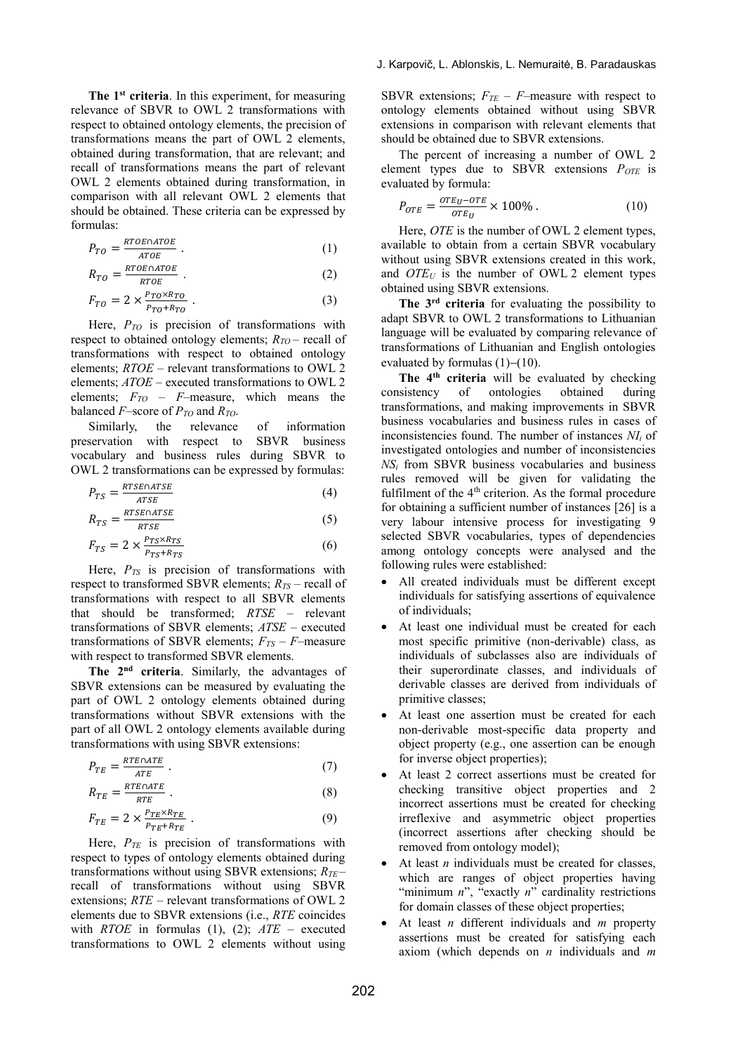**The 1st criteria**. In this experiment, for measuring relevance of SBVR to OWL 2 transformations with respect to obtained ontology elements, the precision of transformations means the part of OWL 2 elements, obtained during transformation, that are relevant; and recall of transformations means the part of relevant OWL 2 elements obtained during transformation, in comparison with all relevant OWL 2 elements that should be obtained. These criteria can be expressed by formulas:

$$
P_{TO} = \frac{RTOE \cap ATOE}{ATOE} \tag{1}
$$

$$
R_{TO} = \frac{RTOE\cap ATOE}{RTOE} \tag{2}
$$

$$
F_{TO} = 2 \times \frac{P_{TO} \times R_{TO}}{P_{TO} + R_{TO}} \tag{3}
$$

Here, *PTO* is precision of transformations with respect to obtained ontology elements; *RTO* – recall of transformations with respect to obtained ontology elements; *RTOE* – relevant transformations to OWL 2 elements; *ATOE* – executed transformations to OWL 2 elements; *FTO* – *F*–measure, which means the balanced *F*–score of *PTO* and *RTO*.

Similarly, the relevance of information preservation with respect to SBVR business vocabulary and business rules during SBVR to OWL 2 transformations can be expressed by formulas:

$$
P_{TS} = \frac{RTSE \cap ATSE}{ATSE} \tag{4}
$$

$$
R_{TS} = \frac{RTSE \cap ATSE}{RTSE} \tag{5}
$$

$$
F_{TS} = 2 \times \frac{P_{TS} \times R_{TS}}{P_{TS} + R_{TS}} \tag{6}
$$

Here, *PTS* is precision of transformations with respect to transformed SBVR elements; *RTS* – recall of transformations with respect to all SBVR elements that should be transformed; *RTSE* – relevant transformations of SBVR elements; *ATSE* – executed transformations of SBVR elements;  $F_{TS} - F$ –measure with respect to transformed SBVR elements.

**The 2nd criteria**. Similarly, the advantages of SBVR extensions can be measured by evaluating the part of OWL 2 ontology elements obtained during transformations without SBVR extensions with the part of all OWL 2 ontology elements available during transformations with using SBVR extensions:

$$
P_{TE} = \frac{RTE \cap ATE}{ATE} \tag{7}
$$

$$
R_{TE} = \frac{RTE\cap ATE}{RTE} \tag{8}
$$

$$
F_{TE} = 2 \times \frac{P_{TE} \times R_{TE}}{P_{TE} + R_{TE}} \tag{9}
$$

Here,  $P_{TE}$  is precision of transformations with respect to types of ontology elements obtained during transformations without using SBVR extensions; *RTE* – recall of transformations without using SBVR extensions; *RTE* – relevant transformations of OWL 2 elements due to SBVR extensions (i.e., *RTE* coincides with *RTOE* in formulas (1), (2); *ATE* – executed transformations to OWL 2 elements without using SBVR extensions;  $F_{TE}$  –  $F$ –measure with respect to ontology elements obtained without using SBVR extensions in comparison with relevant elements that should be obtained due to SBVR extensions.

The percent of increasing a number of OWL 2 element types due to SBVR extensions *POTE* is evaluated by formula:

$$
P_{OTE} = \frac{or_{EU} - or_E}{or_{EU}} \times 100\% \,. \tag{10}
$$

Here, *OTE* is the number of OWL 2 element types, available to obtain from a certain SBVR vocabulary without using SBVR extensions created in this work, and *OTE<sup>U</sup>* is the number of OWL 2 element types obtained using SBVR extensions.

**The 3rd criteria** for evaluating the possibility to adapt SBVR to OWL 2 transformations to Lithuanian language will be evaluated by comparing relevance of transformations of Lithuanian and English ontologies evaluated by formulas  $(1)-(10)$ .

**The 4th criteria** will be evaluated by checking consistency of ontologies obtained during transformations, and making improvements in SBVR business vocabularies and business rules in cases of inconsistencies found. The number of instances *NI<sup>i</sup>* of investigated ontologies and number of inconsistencies *NS<sup>i</sup>* from SBVR business vocabularies and business rules removed will be given for validating the fulfilment of the 4<sup>th</sup> criterion. As the formal procedure for obtaining a sufficient number of instances [26] is a very labour intensive process for investigating 9 selected SBVR vocabularies, types of dependencies among ontology concepts were analysed and the following rules were established:

- All created individuals must be different except individuals for satisfying assertions of equivalence of individuals;
- At least one individual must be created for each most specific primitive (non-derivable) class, as individuals of subclasses also are individuals of their superordinate classes, and individuals of derivable classes are derived from individuals of primitive classes;
- At least one assertion must be created for each non-derivable most-specific data property and object property (e.g., one assertion can be enough for inverse object properties);
- At least 2 correct assertions must be created for checking transitive object properties and 2 incorrect assertions must be created for checking irreflexive and asymmetric object properties (incorrect assertions after checking should be removed from ontology model);
- At least *n* individuals must be created for classes, which are ranges of object properties having "minimum *n*", "exactly *n*" cardinality restrictions for domain classes of these object properties;
- At least *n* different individuals and *m* property assertions must be created for satisfying each axiom (which depends on *n* individuals and *m*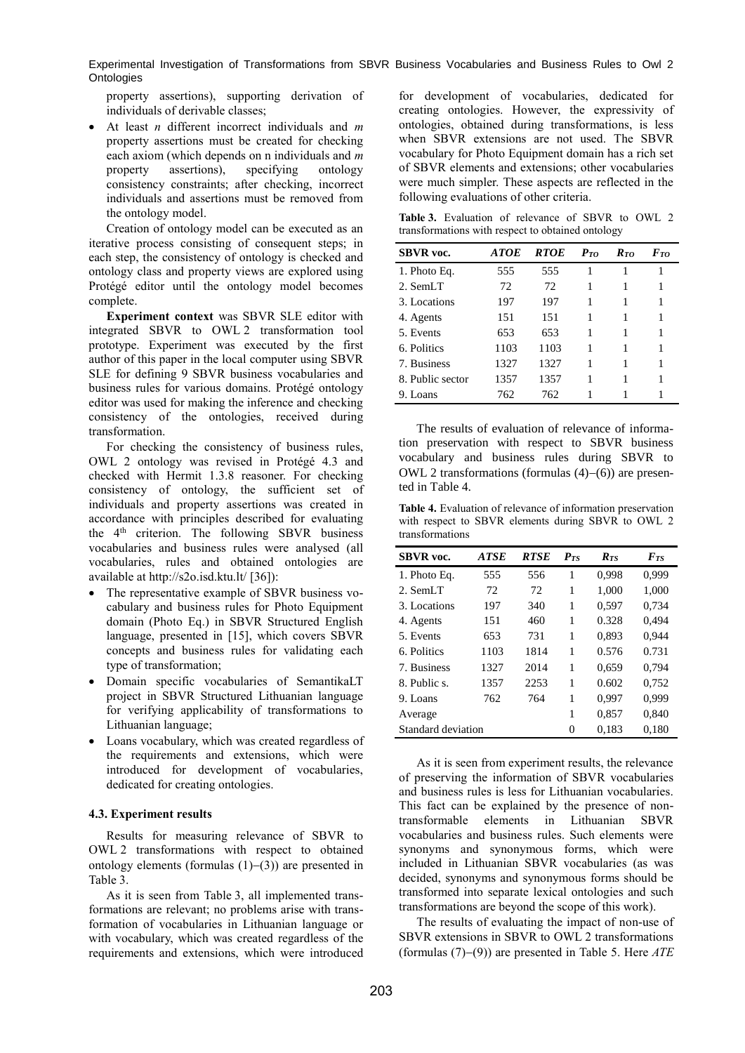property assertions), supporting derivation of individuals of derivable classes;

 At least *n* different incorrect individuals and *m* property assertions must be created for checking each axiom (which depends on n individuals and *m* property assertions), specifying ontology consistency constraints; after checking, incorrect individuals and assertions must be removed from the ontology model.

Creation of ontology model can be executed as an iterative process consisting of consequent steps; in each step, the consistency of ontology is checked and ontology class and property views are explored using Protégé editor until the ontology model becomes complete.

**Experiment context** was SBVR SLE editor with integrated SBVR to OWL 2 transformation tool prototype. Experiment was executed by the first author of this paper in the local computer using SBVR SLE for defining 9 SBVR business vocabularies and business rules for various domains. Protégé ontology editor was used for making the inference and checking consistency of the ontologies, received during transformation.

For checking the consistency of business rules, OWL 2 ontology was revised in Protégé 4.3 and checked with Hermit 1.3.8 reasoner. For checking consistency of ontology, the sufficient set of individuals and property assertions was created in accordance with principles described for evaluating the  $4<sup>th</sup>$  criterion. The following SBVR business vocabularies and business rules were analysed (all vocabularies, rules and obtained ontologies are available at http://s2o.isd.ktu.lt/ [36]):

- The representative example of SBVR business vocabulary and business rules for Photo Equipment domain (Photo Eq.) in SBVR Structured English language, presented in [15], which covers SBVR concepts and business rules for validating each type of transformation;
- Domain specific vocabularies of SemantikaLT project in SBVR Structured Lithuanian language for verifying applicability of transformations to Lithuanian language;
- Loans vocabulary, which was created regardless of the requirements and extensions, which were introduced for development of vocabularies, dedicated for creating ontologies.

### **4.3. Experiment results**

Results for measuring relevance of SBVR to OWL 2 transformations with respect to obtained ontology elements (formulas  $(1)-(3)$ ) are presented in Table 3.

As it is seen from Table 3, all implemented transformations are relevant; no problems arise with transformation of vocabularies in Lithuanian language or with vocabulary, which was created regardless of the requirements and extensions, which were introduced

for development of vocabularies, dedicated for creating ontologies. However, the expressivity of ontologies, obtained during transformations, is less when SBVR extensions are not used. The SBVR vocabulary for Photo Equipment domain has a rich set of SBVR elements and extensions; other vocabularies were much simpler. These aspects are reflected in the following evaluations of other criteria.

**Table 3.** Evaluation of relevance of SBVR to OWL 2 transformations with respect to obtained ontology

| <b>SBVR</b> voc. | <b>ATOE</b> | <b>RTOE</b> | $P_{TO}$ | $R_{TQ}$ | $F_{TQ}$ |
|------------------|-------------|-------------|----------|----------|----------|
| 1. Photo Eq.     | 555         | 555         |          |          |          |
| 2. SemLT         | 72          | 72          |          | 1        |          |
| 3. Locations     | 197         | 197         |          | 1        | 1        |
| 4. Agents        | 151         | 151         |          | 1        |          |
| 5. Events        | 653         | 653         |          | 1        | 1        |
| 6. Politics      | 1103        | 1103        | 1        | 1        |          |
| 7. Business      | 1327        | 1327        |          | 1        |          |
| 8. Public sector | 1357        | 1357        |          | 1        | 1        |
| 9. Loans         | 762         | 762         |          |          |          |

The results of evaluation of relevance of information preservation with respect to SBVR business vocabulary and business rules during SBVR to OWL 2 transformations (formulas  $(4)-(6)$ ) are presented in Table 4.

**Table 4.** Evaluation of relevance of information preservation with respect to SBVR elements during SBVR to OWL 2 transformations

| <b>SBVR</b> voc.   | <b>ATSE</b> | <b>RTSE</b> | $\boldsymbol{P_{TS}}$ | $R_{TS}$ | FxS   |
|--------------------|-------------|-------------|-----------------------|----------|-------|
| 1. Photo Eq.       | 555         | 556         | 1                     | 0,998    | 0,999 |
| 2. SemLT           | 72          | 72          | 1                     | 1,000    | 1,000 |
| 3. Locations       | 197         | 340         | 1                     | 0,597    | 0,734 |
| 4. Agents          | 151         | 460         | 1                     | 0.328    | 0.494 |
| 5. Events          | 653         | 731         | 1                     | 0,893    | 0.944 |
| 6. Politics        | 1103        | 1814        | 1                     | 0.576    | 0.731 |
| 7. Business        | 1327        | 2014        | 1                     | 0,659    | 0.794 |
| 8. Public s.       | 1357        | 2253        | 1                     | 0.602    | 0,752 |
| 9. Loans           | 762         | 764         | 1                     | 0,997    | 0,999 |
| Average            |             |             | 1                     | 0,857    | 0,840 |
| Standard deviation |             |             | 0                     | 0.183    | 0.180 |

As it is seen from experiment results, the relevance of preserving the information of SBVR vocabularies and business rules is less for Lithuanian vocabularies. This fact can be explained by the presence of nontransformable elements in Lithuanian SBVR vocabularies and business rules. Such elements were synonyms and synonymous forms, which were included in Lithuanian SBVR vocabularies (as was decided, synonyms and synonymous forms should be transformed into separate lexical ontologies and such transformations are beyond the scope of this work).

The results of evaluating the impact of non-use of SBVR extensions in SBVR to OWL 2 transformations (formulas  $(7)-(9)$ ) are presented in Table 5. Here  $ATE$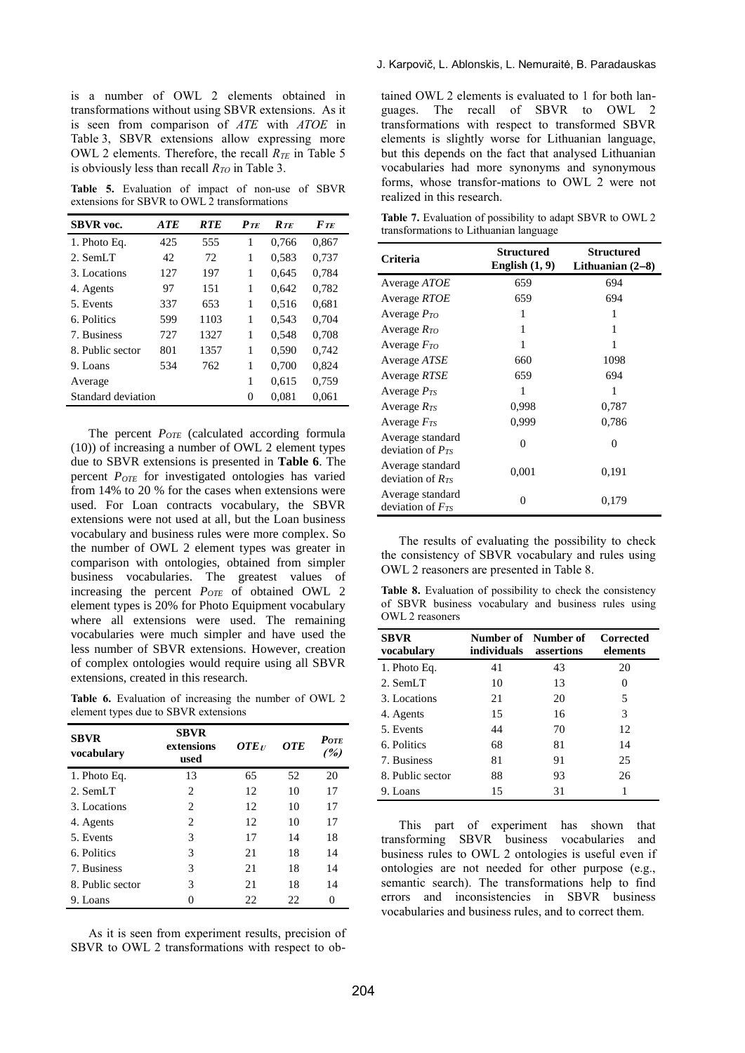is a number of OWL 2 elements obtained in transformations without using SBVR extensions. As it is seen from comparison of *ATE* with *ATOE* in Table 3, SBVR extensions allow expressing more OWL 2 elements. Therefore, the recall *RTE* in Table 5 is obviously less than recall *RTO* in Table 3.

**Table 5.** Evaluation of impact of non-use of SBVR extensions for SBVR to OWL 2 transformations

| <b>SBVR</b> voc.          | <b>ATE</b> | <b>RTE</b> | $P_{TE}$ | $R_{TE}$ | $F_{TE}$ |
|---------------------------|------------|------------|----------|----------|----------|
| 1. Photo Eq.              | 425        | 555        | 1        | 0.766    | 0,867    |
| 2. SemLT                  | 42         | 72         | 1        | 0,583    | 0,737    |
| 3. Locations              | 127        | 197        | 1        | 0.645    | 0.784    |
| 4. Agents                 | 97         | 151        | 1        | 0.642    | 0,782    |
| 5. Events                 | 337        | 653        | 1        | 0.516    | 0.681    |
| 6. Politics               | 599        | 1103       | 1        | 0.543    | 0.704    |
| 7. Business               | 727        | 1327       | 1        | 0,548    | 0,708    |
| 8. Public sector          | 801        | 1357       | 1        | 0,590    | 0.742    |
| 9. Loans                  | 534        | 762        | 1        | 0,700    | 0,824    |
| Average                   |            |            | 1        | 0.615    | 0,759    |
| <b>Standard deviation</b> |            |            | 0        | 0,081    | 0,061    |

The percent *POTE* (calculated according formula (10)) of increasing a number of OWL 2 element types due to SBVR extensions is presented in **[Table 6](#page-9-0)**. The percent *POTE* for investigated ontologies has varied from 14% to 20 % for the cases when extensions were used. For Loan contracts vocabulary, the SBVR extensions were not used at all, but the Loan business vocabulary and business rules were more complex. So the number of OWL 2 element types was greater in comparison with ontologies, obtained from simpler business vocabularies. The greatest values of increasing the percent *POTE* of obtained OWL 2 element types is 20% for Photo Equipment vocabulary where all extensions were used. The remaining vocabularies were much simpler and have used the less number of SBVR extensions. However, creation of complex ontologies would require using all SBVR extensions, created in this research.

<span id="page-9-0"></span>Table 6. Evaluation of increasing the number of OWL 2 element types due to SBVR extensions

| <b>SBVR</b><br>vocabulary | <b>SBVR</b><br>extensions<br>used | $\boldsymbol{OTE}$ | <b>OTE</b> | $P_{OTE}$<br>(%) |
|---------------------------|-----------------------------------|--------------------|------------|------------------|
| 1. Photo Eq.              | 13                                | 65                 | 52         | 20               |
| $2.$ SemLT                | 2                                 | 12                 | 10         | 17               |
| 3. Locations              | $\overline{c}$                    | 12                 | 10         | 17               |
| 4. Agents                 | $\overline{c}$                    | 12                 | 10         | 17               |
| 5. Events                 | 3                                 | 17                 | 14         | 18               |
| 6. Politics               | 3                                 | 21                 | 18         | 14               |
| 7. Business               | 3                                 | 21                 | 18         | 14               |
| 8. Public sector          | 3                                 | 21                 | 18         | 14               |
| 9. Loans                  | 0                                 | 22                 | 22         | 0                |

As it is seen from experiment results, precision of SBVR to OWL 2 transformations with respect to obtained OWL 2 elements is evaluated to 1 for both languages. The recall of SBVR to OWL 2 transformations with respect to transformed SBVR elements is slightly worse for Lithuanian language, but this depends on the fact that analysed Lithuanian vocabularies had more synonyms and synonymous forms, whose transfor-mations to OWL 2 were not realized in this research.

**Table 7.** Evaluation of possibility to adapt SBVR to OWL 2 transformations to Lithuanian language

| Criteria                                  | Structured<br>English $(1, 9)$ | Structured<br>Lithuanian $(2-8)$ |
|-------------------------------------------|--------------------------------|----------------------------------|
| Average <i>ATOE</i>                       | 659                            | 694                              |
| Average RTOE                              | 659                            | 694                              |
| Average $P_{TO}$                          | 1                              | 1                                |
| Average $R_{TO}$                          | 1                              | 1                                |
| Average $F_{TO}$                          | 1                              | 1                                |
| Average <i>ATSE</i>                       | 660                            | 1098                             |
| Average RTSE                              | 659                            | 694                              |
| Average $P_{TS}$                          | 1                              | 1                                |
| Average $R_{TS}$                          | 0,998                          | 0,787                            |
| Average $F_{TS}$                          | 0,999                          | 0,786                            |
| Average standard<br>deviation of $P_{TS}$ | 0                              | 0                                |
| Average standard<br>deviation of $R_{TS}$ | 0,001                          | 0,191                            |
| Average standard<br>deviation of $Frs$    | $\theta$                       | 0,179                            |

The results of evaluating the possibility to check the consistency of SBVR vocabulary and rules using OWL 2 reasoners are presented in Table 8.

Table 8. Evaluation of possibility to check the consistency of SBVR business vocabulary and business rules using OWL 2 reasoners

| <b>SBVR</b><br>vocabulary | individuals assertions | Number of Number of | Corrected<br>elements |
|---------------------------|------------------------|---------------------|-----------------------|
| 1. Photo Eq.              | 41                     | 43                  | 20                    |
| 2. SemLT                  | 10                     | 13                  | $\mathcal{O}$         |
| 3. Locations              | 21                     | 20                  | 5                     |
| 4. Agents                 | 15                     | 16                  | 3                     |
| 5. Events                 | 44                     | 70                  | 12                    |
| 6. Politics               | 68                     | 81                  | 14                    |
| 7. Business               | 81                     | 91                  | 25                    |
| 8. Public sector          | 88                     | 93                  | 26                    |
| 9. Loans                  | 15                     | 31                  |                       |

This part of experiment has shown that transforming SBVR business vocabularies and business rules to OWL 2 ontologies is useful even if ontologies are not needed for other purpose (e.g., semantic search). The transformations help to find errors and inconsistencies in SBVR business vocabularies and business rules, and to correct them.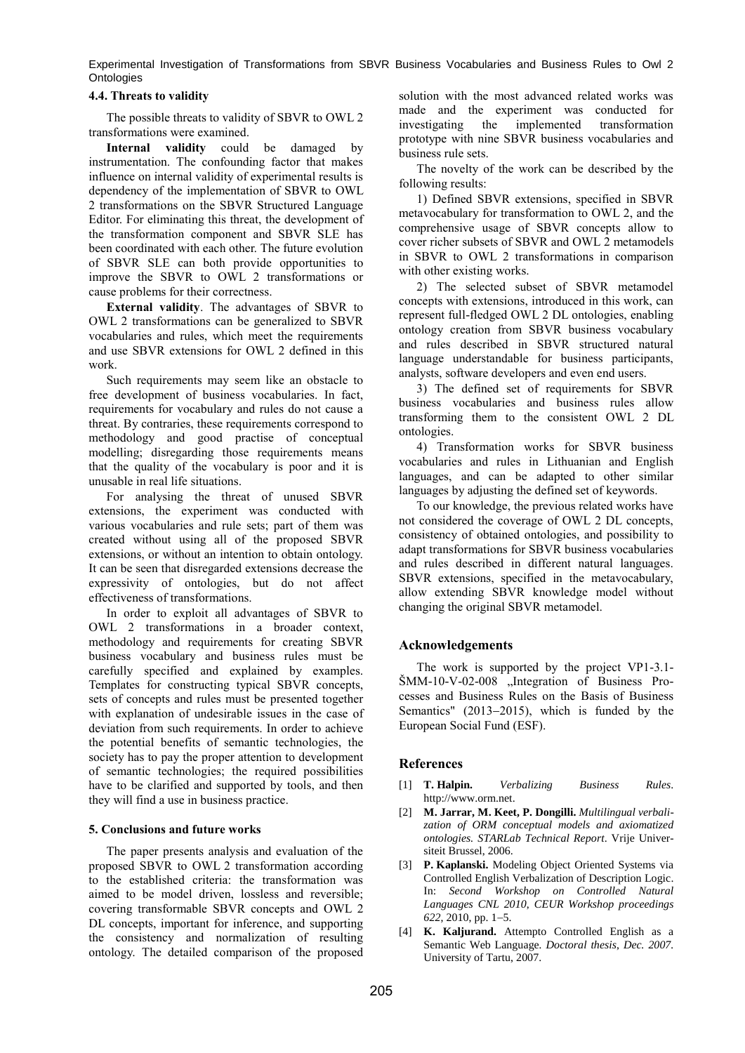### **4.4. Threats to validity**

The possible threats to validity of SBVR to OWL 2 transformations were examined.

**Internal validity** could be damaged by instrumentation. The confounding factor that makes influence on internal validity of experimental results is dependency of the implementation of SBVR to OWL 2 transformations on the SBVR Structured Language Editor. For eliminating this threat, the development of the transformation component and SBVR SLE has been coordinated with each other. The future evolution of SBVR SLE can both provide opportunities to improve the SBVR to OWL 2 transformations or cause problems for their correctness.

**External validity**. The advantages of SBVR to OWL 2 transformations can be generalized to SBVR vocabularies and rules, which meet the requirements and use SBVR extensions for OWL 2 defined in this work.

Such requirements may seem like an obstacle to free development of business vocabularies. In fact, requirements for vocabulary and rules do not cause a threat. By contraries, these requirements correspond to methodology and good practise of conceptual modelling; disregarding those requirements means that the quality of the vocabulary is poor and it is unusable in real life situations.

For analysing the threat of unused SBVR extensions, the experiment was conducted with various vocabularies and rule sets; part of them was created without using all of the proposed SBVR extensions, or without an intention to obtain ontology. It can be seen that disregarded extensions decrease the expressivity of ontologies, but do not affect effectiveness of transformations.

In order to exploit all advantages of SBVR to OWL 2 transformations in a broader context, methodology and requirements for creating SBVR business vocabulary and business rules must be carefully specified and explained by examples. Templates for constructing typical SBVR concepts, sets of concepts and rules must be presented together with explanation of undesirable issues in the case of deviation from such requirements. In order to achieve the potential benefits of semantic technologies, the society has to pay the proper attention to development of semantic technologies; the required possibilities have to be clarified and supported by tools, and then they will find a use in business practice.

### **5. Conclusions and future works**

The paper presents analysis and evaluation of the proposed SBVR to OWL 2 transformation according to the established criteria: the transformation was aimed to be model driven, lossless and reversible; covering transformable SBVR concepts and OWL 2 DL concepts, important for inference, and supporting the consistency and normalization of resulting ontology. The detailed comparison of the proposed

solution with the most advanced related works was made and the experiment was conducted for investigating the implemented transformation prototype with nine SBVR business vocabularies and business rule sets.

The novelty of the work can be described by the following results:

1) Defined SBVR extensions, specified in SBVR metavocabulary for transformation to OWL 2, and the comprehensive usage of SBVR concepts allow to cover richer subsets of SBVR and OWL 2 metamodels in SBVR to OWL 2 transformations in comparison with other existing works.

2) The selected subset of SBVR metamodel concepts with extensions, introduced in this work, can represent full-fledged OWL 2 DL ontologies, enabling ontology creation from SBVR business vocabulary and rules described in SBVR structured natural language understandable for business participants, analysts, software developers and even end users.

3) The defined set of requirements for SBVR business vocabularies and business rules allow transforming them to the consistent OWL 2 DL ontologies.

4) Transformation works for SBVR business vocabularies and rules in Lithuanian and English languages, and can be adapted to other similar languages by adjusting the defined set of keywords.

To our knowledge, the previous related works have not considered the coverage of OWL 2 DL concepts, consistency of obtained ontologies, and possibility to adapt transformations for SBVR business vocabularies and rules described in different natural languages. SBVR extensions, specified in the metavocabulary, allow extending SBVR knowledge model without changing the original SBVR metamodel.

# **Acknowledgements**

The work is supported by the project VP1-3.1- ŠMM-10-V-02-008 "Integration of Business Processes and Business Rules on the Basis of Business Semantics"  $(2013-2015)$ , which is funded by the European Social Fund (ESF).

### **References**

- [1] **T. Halpin.** *Verbalizing Business Rules*. http://www.orm.net.
- [2] **M. Jarrar, M. Keet, P. Dongilli.** *Multilingual verbalization of ORM conceptual models and axiomatized ontologies. STARLab Technical Report*. Vrije Universiteit Brussel, 2006.
- [3] **P. Kaplanski.** Modeling Object Oriented Systems via Controlled English Verbalization of Description Logic. In: *Second Workshop on Controlled Natural Languages CNL 2010*, *CEUR Workshop proceedings* 622, 2010, pp. 1–5.
- [4] **K. Kaljurand.** Attempto Controlled English as a Semantic Web Language*. Doctoral thesis*, *Dec. 2007.*  University of Tartu, 2007.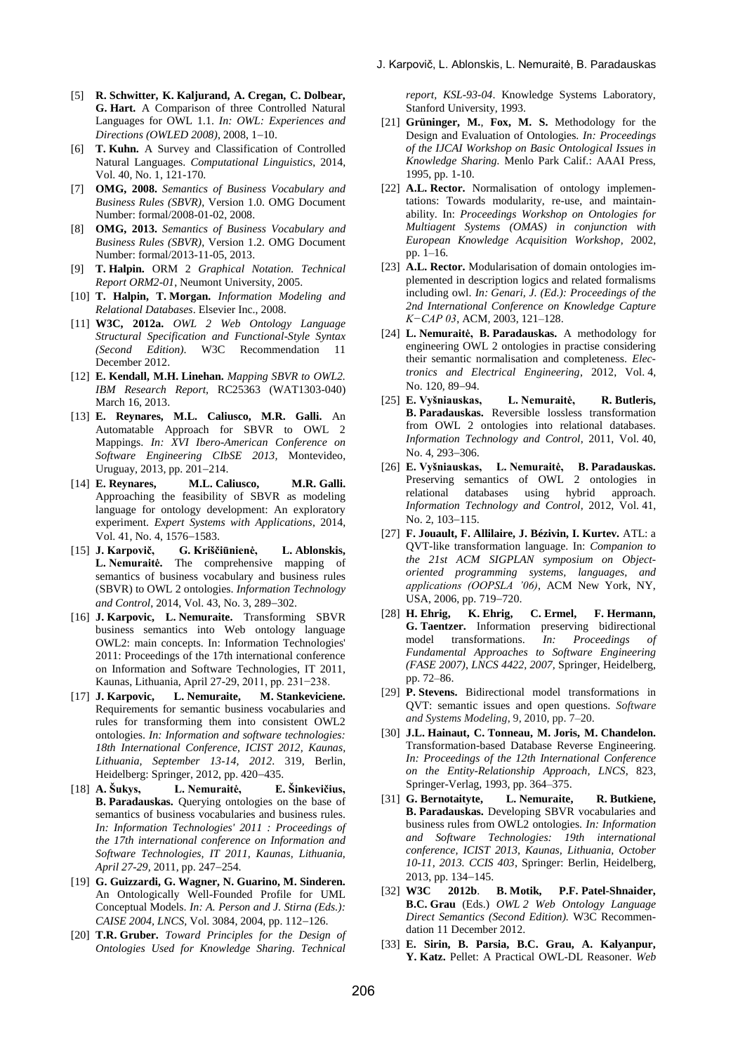- [5] **R. Schwitter, K. Kaljurand, A. Cregan, C. Dolbear, G. Hart.** A Comparison of three Controlled Natural Languages for OWL 1.1. *In: OWL: Experiences and Directions (OWLED 2008)*, 2008, 1-10.
- [6] **T. Kuhn.** A Survey and Classification of Controlled Natural Languages. *Computational Linguistics*, 2014, Vol. 40, No. 1, 121-170.
- [7] **OMG, 2008.** *Semantics of Business Vocabulary and Business Rules (SBVR)*, Version 1.0. OMG Document Number: formal/2008-01-02, 2008.
- [8] **OMG, 2013.** *Semantics of Business Vocabulary and Business Rules (SBVR)*, Version 1.2. OMG Document Number: formal/2013-11-05, 2013.
- [9] **T. Halpin.** ORM 2 *Graphical Notation. Technical Report ORM2-01*, Neumont University, 2005.
- [10] **T. Halpin, T. Morgan.** *Information Modeling and Relational Databases*. Elsevier Inc., 2008.
- [11] **W3C, 2012a.** *OWL 2 Web Ontology Language Structural Specification and Functional-Style Syntax (Second Edition)*. W3C Recommendation 11 December 2012.
- [12] **E. Kendall, M.H. Linehan.** *Mapping SBVR to OWL2. IBM Research Report,* RC25363 (WAT1303-040) March 16, 2013.
- [13] **E. Reynares, M.L. Caliusco, M.R. Galli.** An Automatable Approach for SBVR to OWL 2 Mappings. *In: XVI Ibero-American Conference on Software Engineering CIbSE 2013,* Montevideo, Uruguay, 2013, pp. 201-214.
- [14] **E. Reynares, M.L. Caliusco, M.R. Galli.**  Approaching the feasibility of SBVR as modeling language for ontology development: An exploratory experiment. *Expert Systems with Applications*, 2014, Vol. 41, No. 4, 1576-1583.
- [15] **J. Karpovič, G. Kriščiūnienė, L. Ablonskis, L. Nemuraitė.** The comprehensive mapping of semantics of business vocabulary and business rules (SBVR) to OWL 2 ontologies. *Information Technology*  and Control, 2014, Vol. 43, No. 3, 289-302.
- [16] **J. Karpovic, L. Nemuraite.** Transforming SBVR business semantics into Web ontology language OWL2: main concepts. In: Information Technologies' 2011: Proceedings of the 17th international conference on Information and Software Technologies, IT 2011, Kaunas, Lithuania, April 27-29, 2011, pp. 231−238.
- [17] **J. Karpovic, L. Nemuraite, M. Stankeviciene.**  Requirements for semantic business vocabularies and rules for transforming them into consistent OWL2 ontologies. *In: Information and software technologies: 18th International Conference, ICIST 2012, Kaunas, Lithuania, September 13-14, 2012*. 319, Berlin, Heidelberg: Springer, 2012, pp. 420-435.
- [18] **A. Šukys, L. Nemuraitė, E. Šinkevičius, B. Paradauskas.** Querying ontologies on the base of semantics of business vocabularies and business rules. *In: Information Technologies' 2011 : Proceedings of the 17th international conference on Information and Software Technologies, IT 2011, Kaunas, Lithuania, April 27-29*, 2011, pp. 247-254.
- [19] **G. Guizzardi, G. Wagner, N. Guarino, M. Sinderen.** An Ontologically Well-Founded Profile for UML Conceptual Models. *In: A. Person and J. Stirna (Eds.): CAISE 2004, LNCS, Vol. 3084, 2004, pp. 112-126.*
- [20] **T.R. Gruber.** *Toward Principles for the Design of Ontologies Used for Knowledge Sharing. Technical*

*report, KSL-93-04*. Knowledge Systems Laboratory, Stanford University, 1993.

- [21] **Grüninger, M.**, **Fox, M. S.** Methodology for the Design and Evaluation of Ontologies. *In: Proceedings of the IJCAI Workshop on Basic Ontological Issues in Knowledge Sharing.* Menlo Park Calif.: AAAI Press, 1995, pp. 1-10.
- [22] **A.L. Rector.** Normalisation of ontology implementations: Towards modularity, re-use, and maintainability. In: *Proceedings Workshop on Ontologies for Multiagent Systems (OMAS) in conjunction with European Knowledge Acquisition Workshop*, 2002, pp. 1–16.
- [23] **A.L. Rector.** Modularisation of domain ontologies implemented in description logics and related formalisms including owl. *In: Genari, J. (Ed.): Proceedings of the 2nd International Conference on Knowledge Capture K−CAP 03*, ACM, 2003, 121–128.
- [24] **L. Nemuraitė, B. Paradauskas.** A methodology for engineering OWL 2 ontologies in practise considering their semantic normalisation and completeness. *Electronics and Electrical Engineering*, 2012, Vol. 4, No. 120, 89-94.
- [25] **E. Vyšniauskas, L. Nemuraitė, R. Butleris, B. Paradauskas.** Reversible lossless transformation from OWL 2 ontologies into relational databases. *Information Technology and Control*, 2011, Vol. 40, No. 4, 293-306.
- [26] **E. Vyšniauskas, L. Nemuraitė, B. Paradauskas.**  Preserving semantics of OWL 2 ontologies in relational databases using hybrid approach. *Information Technology and Control*, 2012, Vol. 41, No. 2, 103-115.
- [27] **F. Jouault, F. Allilaire, J. Bézivin, I. Kurtev.** ATL: a QVT-like transformation language. In: *Companion to the 21st ACM SIGPLAN symposium on Objectoriented programming systems, languages, and applications (OOPSLA '06)*, ACM New York, NY, USA, 2006, pp. 719-720.
- [28] **H. Ehrig, K. Ehrig, C. Ermel, F. Hermann, G. Taentzer.** Information preserving bidirectional model transformations. *In: Proceedings of Fundamental Approaches to Software Engineering (FASE 2007)*, *LNCS 4422, 2007,* Springer, Heidelberg, pp. 72–86.
- [29] **P. Stevens.** Bidirectional model transformations in QVT: semantic issues and open questions. *Software and Systems Modeling*, 9, 2010, pp. 7–20.
- [30] **J.L. Hainaut, C. Tonneau, M. Joris, M. Chandelon.**  Transformation-based Database Reverse Engineering. *In: Proceedings of the 12th International Conference on the Entity-Relationship Approach, LNCS*, 823, Springer-Verlag, 1993, pp. 364–375.
- [31] **G. Bernotaityte, L. Nemuraite, R. Butkiene, B. Paradauskas.** Developing SBVR vocabularies and business rules from OWL2 ontologies. *In: Information and Software Technologies: 19th international conference, ICIST 2013, Kaunas, Lithuania, October 10-11, 2013. CCIS 403*, Springer: Berlin, Heidelberg, 2013, pp. 134-145.
- [32] **W3C 2012b**. **B. Motik, P.F. Patel-Shnaider, B.C. Grau** (Eds.) *OWL 2 Web Ontology Language Direct Semantics (Second Edition).* W3C Recommendation 11 December 2012.
- [33] **E. Sirin, B. Parsia, B.C. Grau, A. Kalyanpur, Y. Katz.** Pellet: A Practical OWL-DL Reasoner. *Web*